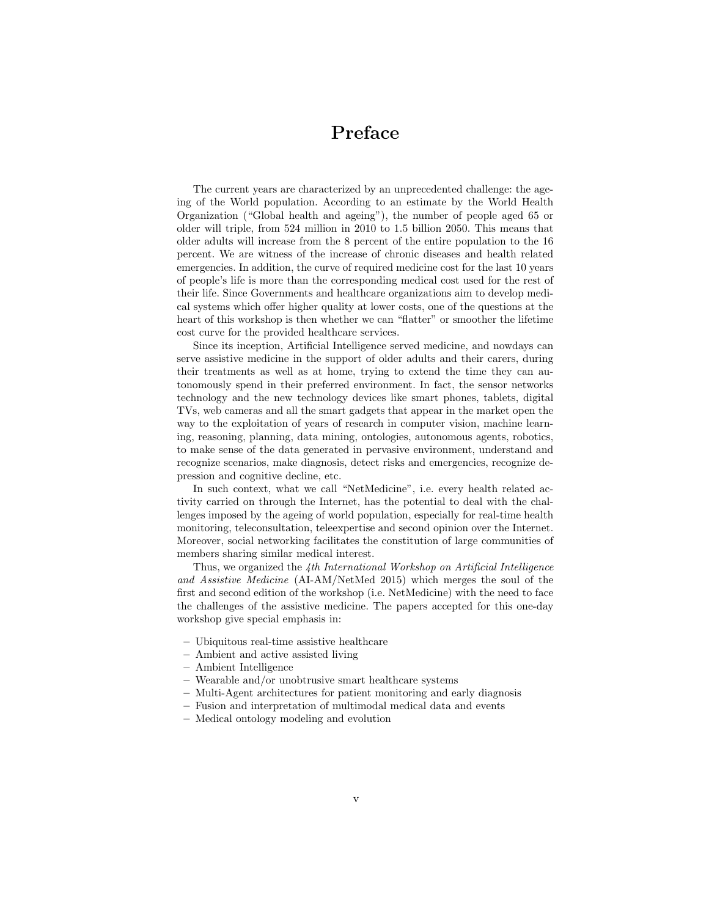## Preface

The current years are characterized by an unprecedented challenge: the ageing of the World population. According to an estimate by the World Health Organization ("Global health and ageing"), the number of people aged 65 or older will triple, from 524 million in 2010 to 1.5 billion 2050. This means that older adults will increase from the 8 percent of the entire population to the 16 percent. We are witness of the increase of chronic diseases and health related emergencies. In addition, the curve of required medicine cost for the last 10 years of people's life is more than the corresponding medical cost used for the rest of their life. Since Governments and healthcare organizations aim to develop medical systems which offer higher quality at lower costs, one of the questions at the heart of this workshop is then whether we can "flatter" or smoother the lifetime cost curve for the provided healthcare services.

Since its inception, Artificial Intelligence served medicine, and nowdays can serve assistive medicine in the support of older adults and their carers, during their treatments as well as at home, trying to extend the time they can autonomously spend in their preferred environment. In fact, the sensor networks technology and the new technology devices like smart phones, tablets, digital TVs, web cameras and all the smart gadgets that appear in the market open the way to the exploitation of years of research in computer vision, machine learning, reasoning, planning, data mining, ontologies, autonomous agents, robotics, to make sense of the data generated in pervasive environment, understand and recognize scenarios, make diagnosis, detect risks and emergencies, recognize depression and cognitive decline, etc.

In such context, what we call "NetMedicine", i.e. every health related activity carried on through the Internet, has the potential to deal with the challenges imposed by the ageing of world population, especially for real-time health monitoring, teleconsultation, teleexpertise and second opinion over the Internet. Moreover, social networking facilitates the constitution of large communities of members sharing similar medical interest.

Thus, we organized the 4th International Workshop on Artificial Intelligence and Assistive Medicine (AI-AM/NetMed 2015) which merges the soul of the first and second edition of the workshop (i.e. NetMedicine) with the need to face the challenges of the assistive medicine. The papers accepted for this one-day workshop give special emphasis in:

- Ubiquitous real-time assistive healthcare
- Ambient and active assisted living
- Ambient Intelligence
- Wearable and/or unobtrusive smart healthcare systems
- Multi-Agent architectures for patient monitoring and early diagnosis
- Fusion and interpretation of multimodal medical data and events
- Medical ontology modeling and evolution